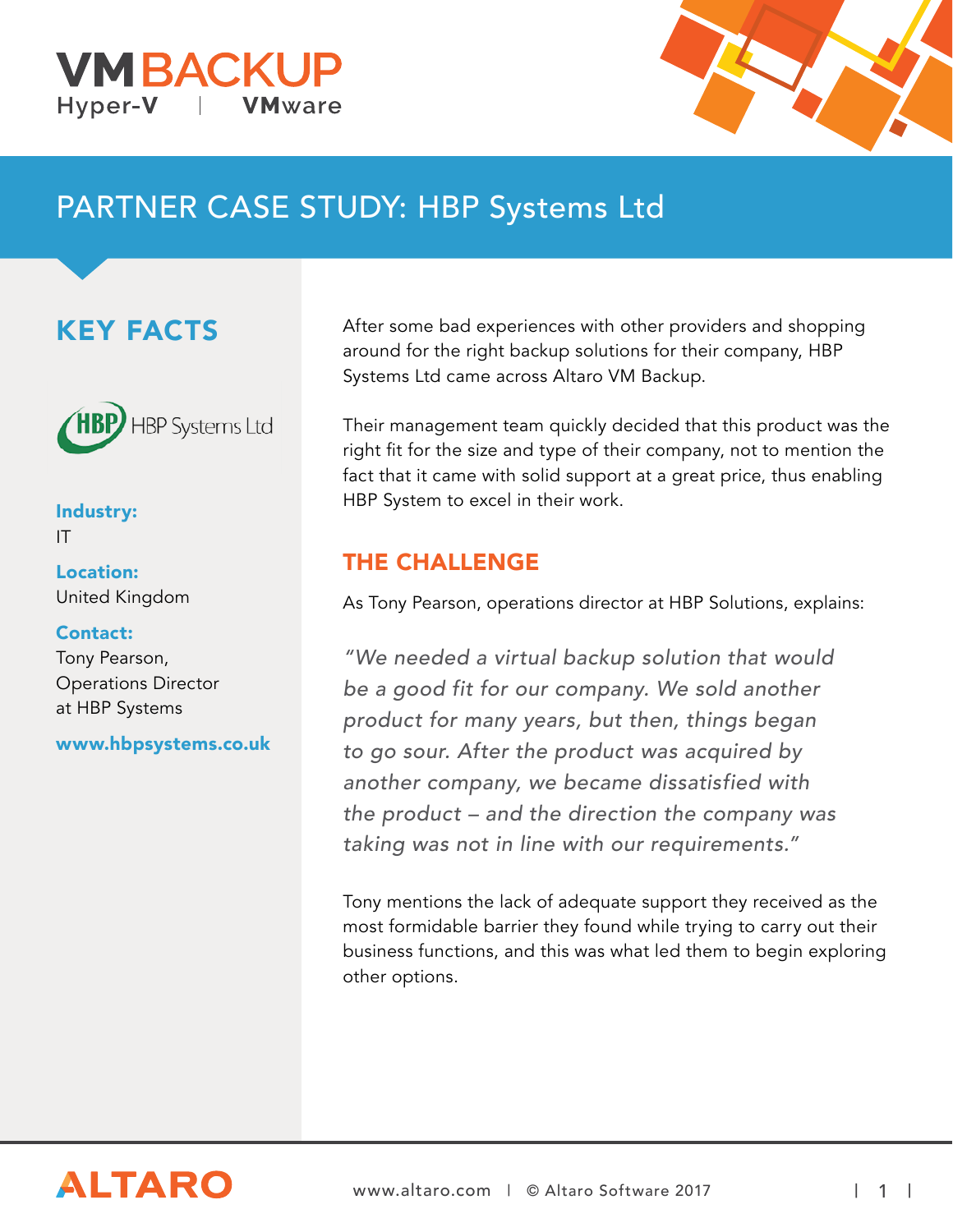



# PARTNER CASE STUDY: HBP Systems Ltd

### KEY FACTS



Industry: IT

Location: United Kingdom

#### Contact:

Tony Pearson, Operations Director at HBP Systems

www.hbpsystems.co.uk

After some bad experiences with other providers and shopping around for the right backup solutions for their company, HBP Systems Ltd came across Altaro VM Backup.

Their management team quickly decided that this product was the right fit for the size and type of their company, not to mention the fact that it came with solid support at a great price, thus enabling HBP System to excel in their work.

### THE CHALLENGE

As Tony Pearson, operations director at HBP Solutions, explains:

"We needed a virtual backup solution that would be a good fit for our company. We sold another product for many years, but then, things began to go sour. After the product was acquired by another company, we became dissatisfied with the product – and the direction the company was taking was not in line with our requirements."

Tony mentions the lack of adequate support they received as the most formidable barrier they found while trying to carry out their business functions, and this was what led them to begin exploring other options.